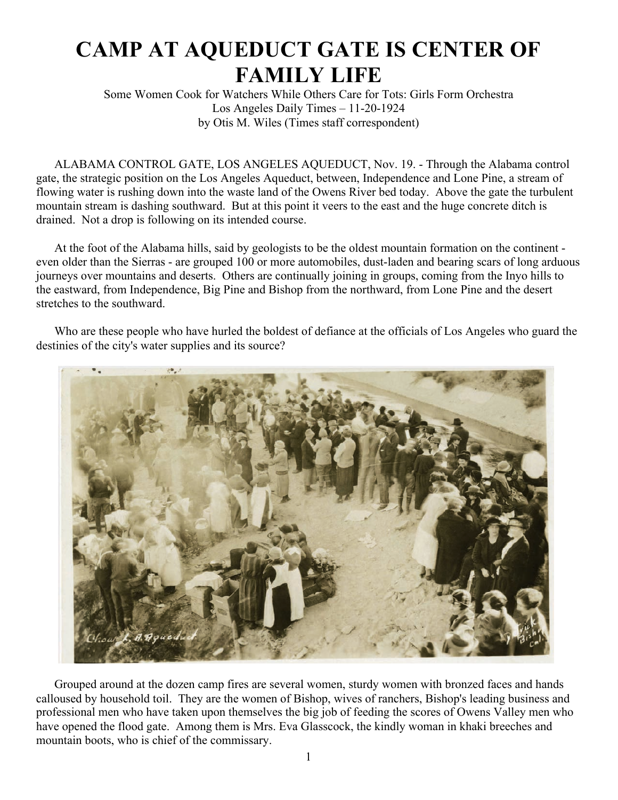## **CAMP AT AQUEDUCT GATE IS CENTER OF FAMILY LIFE**

Some Women Cook for Watchers While Others Care for Tots: Girls Form Orchestra Los Angeles Daily Times – 11-20-1924 by Otis M. Wiles (Times staff correspondent)

ALABAMA CONTROL GATE, LOS ANGELES AQUEDUCT, Nov. 19. - Through the Alabama control gate, the strategic position on the Los Angeles Aqueduct, between, Independence and Lone Pine, a stream of flowing water is rushing down into the waste land of the Owens River bed today. Above the gate the turbulent mountain stream is dashing southward. But at this point it veers to the east and the huge concrete ditch is drained. Not a drop is following on its intended course.

At the foot of the Alabama hills, said by geologists to be the oldest mountain formation on the continent even older than the Sierras - are grouped 100 or more automobiles, dust-laden and bearing scars of long arduous journeys over mountains and deserts. Others are continually joining in groups, coming from the Inyo hills to the eastward, from Independence, Big Pine and Bishop from the northward, from Lone Pine and the desert stretches to the southward.

Who are these people who have hurled the boldest of defiance at the officials of Los Angeles who guard the destinies of the city's water supplies and its source?



Grouped around at the dozen camp fires are several women, sturdy women with bronzed faces and hands calloused by household toil. They are the women of Bishop, wives of ranchers, Bishop's leading business and professional men who have taken upon themselves the big job of feeding the scores of Owens Valley men who have opened the flood gate. Among them is Mrs. Eva Glasscock, the kindly woman in khaki breeches and mountain boots, who is chief of the commissary.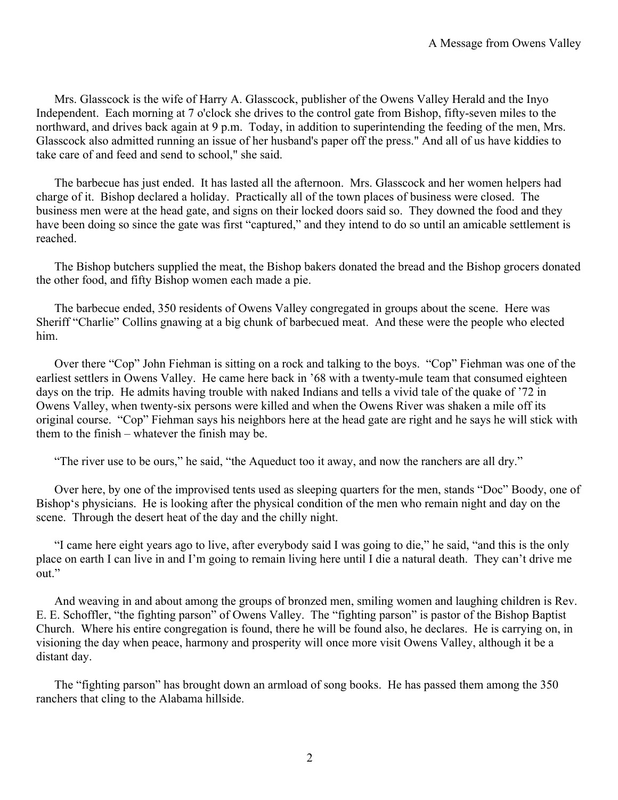Mrs. Glasscock is the wife of Harry A. Glasscock, publisher of the Owens Valley Herald and the Inyo Independent. Each morning at 7 o'clock she drives to the control gate from Bishop, fifty-seven miles to the northward, and drives back again at 9 p.m. Today, in addition to superintending the feeding of the men, Mrs. Glasscock also admitted running an issue of her husband's paper off the press." And all of us have kiddies to take care of and feed and send to school," she said.

The barbecue has just ended. It has lasted all the afternoon. Mrs. Glasscock and her women helpers had charge of it. Bishop declared a holiday. Practically all of the town places of business were closed. The business men were at the head gate, and signs on their locked doors said so. They downed the food and they have been doing so since the gate was first "captured," and they intend to do so until an amicable settlement is reached.

The Bishop butchers supplied the meat, the Bishop bakers donated the bread and the Bishop grocers donated the other food, and fifty Bishop women each made a pie.

The barbecue ended, 350 residents of Owens Valley congregated in groups about the scene. Here was Sheriff "Charlie" Collins gnawing at a big chunk of barbecued meat. And these were the people who elected him.

Over there "Cop" John Fiehman is sitting on a rock and talking to the boys. "Cop" Fiehman was one of the earliest settlers in Owens Valley. He came here back in '68 with a twenty-mule team that consumed eighteen days on the trip. He admits having trouble with naked Indians and tells a vivid tale of the quake of '72 in Owens Valley, when twenty-six persons were killed and when the Owens River was shaken a mile off its original course. "Cop" Fiehman says his neighbors here at the head gate are right and he says he will stick with them to the finish – whatever the finish may be.

"The river use to be ours," he said, "the Aqueduct too it away, and now the ranchers are all dry."

Over here, by one of the improvised tents used as sleeping quarters for the men, stands "Doc" Boody, one of Bishop's physicians. He is looking after the physical condition of the men who remain night and day on the scene. Through the desert heat of the day and the chilly night.

"I came here eight years ago to live, after everybody said I was going to die," he said, "and this is the only place on earth I can live in and I'm going to remain living here until I die a natural death. They can't drive me out."

And weaving in and about among the groups of bronzed men, smiling women and laughing children is Rev. E. E. Schoffler, "the fighting parson" of Owens Valley. The "fighting parson" is pastor of the Bishop Baptist Church. Where his entire congregation is found, there he will be found also, he declares. He is carrying on, in visioning the day when peace, harmony and prosperity will once more visit Owens Valley, although it be a distant day.

The "fighting parson" has brought down an armload of song books. He has passed them among the 350 ranchers that cling to the Alabama hillside.